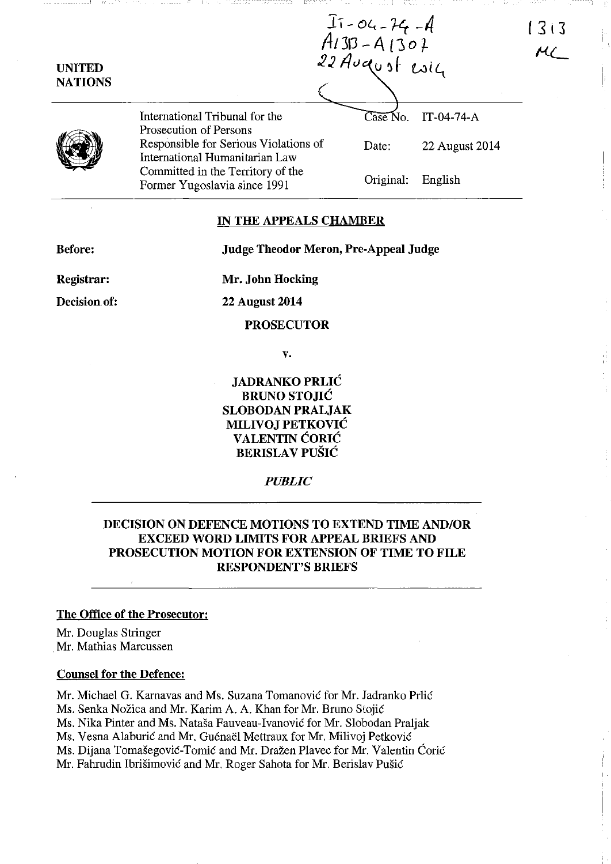| <b>UNITED</b><br><b>NATIONS</b> | $I_1 - 04 - 74 - 4$<br>A1313 - A1307<br>22 August esig                  |                                |                | 1313 |
|---------------------------------|-------------------------------------------------------------------------|--------------------------------|----------------|------|
|                                 |                                                                         |                                |                |      |
|                                 | International Tribunal for the<br>Prosecution of Persons                | $\widetilde{\text{Case No}}$ . | IT-04-74-A     |      |
|                                 | Responsible for Serious Violations of<br>International Humanitarian Law | Date:                          | 22 August 2014 |      |
|                                 | Committed in the Territory of the<br>Former Yugoslavia since 1991       | Original:                      | English        |      |

### **IN THE APPEALS CHAMBER**

**Judge Theodor Meron, Pre-Appeal Judge** 

**Before:** 

**Mr. John Hocking** 

**Decision of:** 

**Registrar:** 

**22 August 2014** 

**PROSECUTOR** 

**v.** 

**JADRANKO PRLIC BRUNO STOJIC SLOBODAN PRALJAK MILIVOJ PETKOVIC VALENTIN CORIC BERISLA V PUSIC** 

*PUBLIC* 

# **DECISION ON DEFENCE MOTIONS TO EXTEND TIME AND/OR EXCEED WORD LIMITS FOR APPEAL BRIEFS AND PROSECUTION MOTION FOR EXTENSION OF TIME TO FILE RESPONDENT'S BRIEFS**

### **The Office of the Prosecutor:**

Mr. Douglas Stringer . Mr. Mathias Marcussen

#### **Counsel for the Defence:**

Mr. Michael G. Karnavas and Ms. Suzana Tomanović for Mr. Jadranko Prlić Ms. Senka Nožica and Mr. Karim A. A. Khan for Mr. Bruno Stojić Ms. Nika Pinter and Ms. Natasa Fauveau-Ivanovie for Mr. Slobodan Praljak Ms. Vesna Alaburić and Mr. Guénaël Mettraux for Mr. Milivoj Petković Ms. Dijana Tomasegovie-Tomie and Mr. Drazen Plavec for Mr. Valentin Corie Mr. Fahrudin Ibrišimović and Mr. Roger Sahota for Mr. Berislav Pušić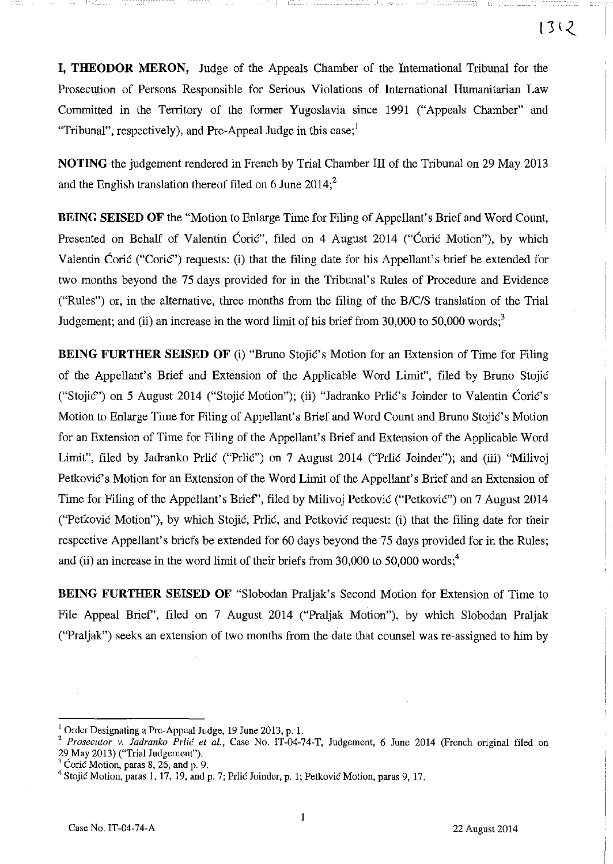**I, THEODOR MERON,** Judge of the Appeals Chamber of the International Tribunal for the Prosecution of Persons Responsible for Serious Violations of International Humanitarian Law Committed in the Territory of the former Yugoslavia since 1991 ("Appeals Chamber" and "Tribunal", respectively), and Pre-Appeal Judge in this case;

 $L_{\rm \sim -}$ 

**NOTING** the judgement rendered in French by Trial Chamber III of the Tribunal on 29 May 2013 and the English translation thereof filed on 6 June  $2014$ ;<sup>2</sup>

**BEING SEISED OF** the "Motion to Enlarge Time for Filing of Appellant's Brief and Word Count, Presented on Behalf of Valentin Ćorić", filed on 4 August 2014 ("Ćorić Motion"), by which Valentin Coric ("CoriC") requests: (i) that the filing date for his Appellant's brief be extended for two months beyond the 75 days provided for in the Tribunal's Rules of Procedure and Evidence ("Rules") or, in the alternative, three months from the filing of the *B/c/S* translation of the Trial Judgement; and (ii) an increase in the word limit of his brief from 30,000 to 50,000 words;<sup>3</sup>

**BEING FURTHER SEISED OF** (i) "Bruno Stojic"s Motion for an Extension of Time for Filing of the Appellant's Brief and Extension of the Applicable Word Limit", filed by Bruno Stojic ("Stojic") on 5 August 2014 ("Stojic Motion"); (ii) "Jadranko PrliC's Joinder to Valentin CoriC's Motion to Enlarge Time for Filing of Appellant's Brief and Word Count and Bruno Stojic's Motion for an Extension of Time for Filing of the Appellant's Brief and Extension of the Applicable Word Limit", filed by Jadranko Prlić ("Prlić") on 7 August 2014 ("Prlić Joinder"); and (iii) "Milivoj Petković's Motion for an Extension of the Word Limit of the Appellant's Brief and an Extension of Time for Filing of the Appellant's Brief', filed by Milivoj Petkovic ("Petkovic") on 7 August 2014 ("PetkoviC Motion"), by which Stojic, Prlic, and Petkovic request: (i) that the filing date for their respective Appellant's briefs be extended for 60 days beyond the 75 days provided for in the Rules; and (ii) an increase in the word limit of their briefs from  $30,000$  to  $50,000$  words;<sup>4</sup>

**BEING FURTHER SEISED OF** "Slobodan Praljak's Second Motion for Extension of Time to File Appeal Brief', filed on 7 August 2014 ("Praljak Motion"), by which Slobodan Praljak ("Praljak") seeks an extension of two months from the date that counsel was re-assigned to him by

 $<sup>1</sup>$  Order Designating a Pre-Appeal Judge, 19 June 2013, p. 1.</sup>

<sup>&</sup>lt;sup>2</sup> Prosecutor v. Jadranko Prlić et al., Case No. IT-04-74-T, Judgement, 6 June 2014 (French original filed on 29 May 2013) ("Trial Judgement").

<sup>3</sup> Coric Motion, paras 8, 26, and p. 9.

<sup>&</sup>lt;sup>4</sup> Stojić Motion, paras 1, 17, 19, and p. 7; Prlić Joinder, p. 1; Petković Motion, paras 9, 17.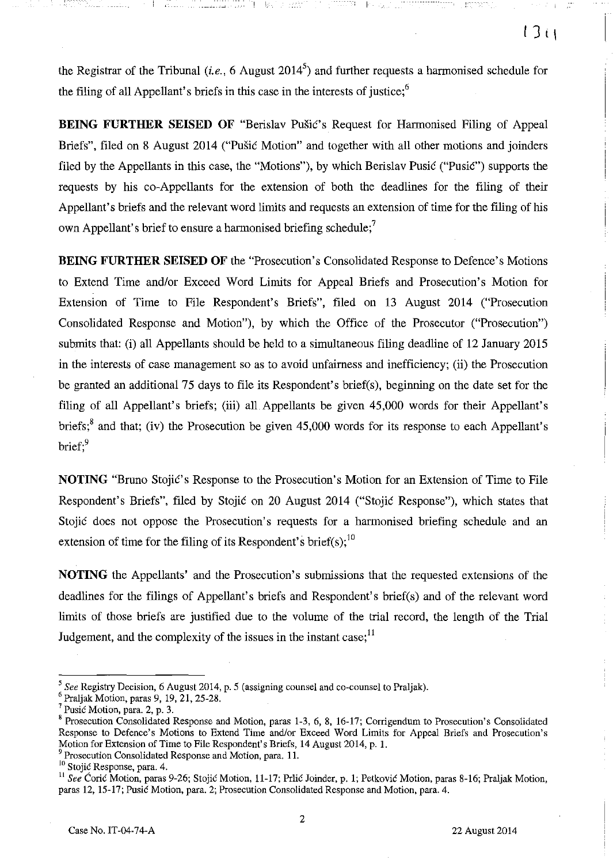the Registrar of the Tribunal (*i.e.*, 6 August 2014<sup>5</sup>) and further requests a harmonised schedule for the filing of all Appellant's briefs in this case in the interests of justice; $<sup>6</sup>$ </sup>

I !,

**BEING FURTHER SEISED OF** "Berislav Pusic's Request for Harmonised Filing of Appeal Briefs", filed on 8 August 2014 ("Pusic Motion" and together with all other motions and joinders filed by the Appellants in this case, the "Motions"), by which Berislav Pusic ("Pusic") supports the requests by his co-Appellants for the extension of both the deadlines for the filing of their Appellant's briefs and the relevant word limits and requests an extension of time for the filing of his own Appellant's brief to ensure a harmonised briefing schedule;<sup>7</sup>

**BEING FURTHER SEISED OF the "Prosecution's Consolidated Response to Defence's Motions** to Extend Time andlor Exceed Word Limits for Appeal Briefs and Prosecution's Motion for Extension of Time to File Respondent's Briefs", filed on 13 August 2014 ("Prosecution Consolidated Response and Motion"), by which the Office of the Prosecutor ("Prosecution") submits that: (i) all Appellants should be held to a simultaneous filing deadline of 12 January 2015 in the interests of case management so as to avoid unfairness and inefficiency; (ii) the Prosecution be granted an additional 75 days to file its Respondent's brief(s), beginning on the date set for the filing of all Appellant's briefs; (iii) all Appellants be given 45,000 words for their Appellant's briefs;<sup>8</sup> and that; (iv) the Prosecution be given 45,000 words for its response to each Appellant's brief.<sup>9</sup>

**NOTING** "Bruno Stojić's Response to the Prosecution's Motion for an Extension of Time to File Respondent's Briefs", filed by Stojic on 20 August 2014 ("Stojic Response"), which states that Stojic does not oppose the Prosecution's requests for a harmonised briefing schedule and an extension of time for the filing of its Respondent's brief(s);<sup>10</sup>

**NOTING** the Appellants' and the Prosecution's submissions that the requested extensions of the deadlines for the filings of Appellant's briefs and Respondent's brief(s) and of the relevant word limits of those briefs are justified due to the volume of the trial record, the length of the Trial Judgement, and the complexity of the issues in the instant case;  $11$ 

*<sup>5</sup> See* Registry Decision, 6 August 2014, p. 5 (assigning counsel and co-counsel to Praljak).

 $^6$  Praljak Motion, paras 9, 19, 21, 25-28.

 $<sup>7</sup>$  Pusic Motion, para. 2, p. 3.</sup>

<sup>&</sup>lt;sup>8</sup> Prosecution Consolidated Response and Motion, paras 1-3, 6, 8, 16-17; Corrigendum to Prosecution's Consolidated Response to Defence's Motions to Extend Time and/or Exceed Word Limits for Appeal Briefs and Prosecution's Motion for Extension of Time to File Respondent's Briefs, 14 August 2014, p. 1.

Prosecution Consolidated Response and Motion, para. 11.

<sup>&</sup>lt;sup>10</sup> Stojić Response, para. 4.

<sup>&</sup>lt;sup>11</sup> See Coric Motion, paras 9-26; Stojic Motion, 11-17; Prlic Joinder, p. 1; Petkovic Motion, paras 8-16; Praljak Motion, paras 12, 15-17; Pusic Motion, para. 2; Prosecution Consolidated Response and Motion, para. 4.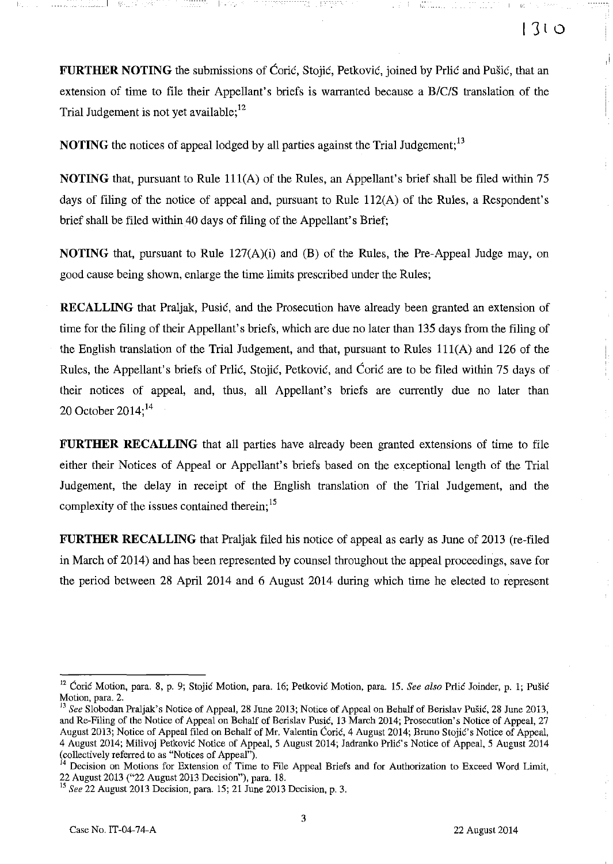**FURTHER NOTING** the submissions of Ćorić, Stojić, Petković, joined by Prlić and Pušić, that an extension of time to file their Appellant's briefs is warranted because a *B/C/S* translation of the Trial Judgement is not yet available;  $12$ 

**NOTING** the notices of appeal lodged by all parties against the Trial Judgement;<sup>13</sup>

**NOTING** that, pursuant to Rule 111(A) of the Rules, an Appellant's brief shall be filed within 75 days of filing of the notice of appeal and, pursuant to Rule 1l2(A) of the Rules, a Respondent's brief shall be filed within 40 days of filing of the Appellant's Brief;

**NOTING** that, pursuant to Rule 127(A)(i) and (B) of the Rules, the Pre-Appeal Judge may, on good cause being shown, enlarge the time limits prescribed under the Rules;

**RECALLING** that Praljak, Pusić, and the Prosecution have already been granted an extension of time for the filing of their Appellant's briefs, which are due no later than 135 days from the filing of the English translation of the Trial Judgement, and that, pursuant to Rules  $111(A)$  and 126 of the Rules, the Appellant's briefs of Priić, Stojić, Petković, and Ćorić are to be filed within 75 days of their notices of appeal, and, thus, all Appellant's briefs are currently due no later than 20 October  $2014$ ;<sup>14</sup>

**FURTHER RECALLING** that all parties have already been granted extensions of time to file either their Notices of Appeal or Appellant's briefs based on the exceptional length of the Trial Judgement, the delay in receipt of the English translation of the Trial Judgement, and the complexity of the issues contained therein;<sup>15</sup>

**FURTHER RECALLING** that Praljak filed his notice of appeal as early as June of 2013 (re-filed in March of 2014) and has been represented by counsel throughout the appeal proceedings, save for the period between 28 April 2014 and 6 August 2014 during which time he elected to represent

المصطور

<sup>&</sup>lt;sup>12</sup> Coric Motion, para. 8, p. 9; Stojic Motion, para. 16; Petkovic Motion, para. 15. See also Prlic Joinder, p. 1; Pušic Motion, para. 2.

<sup>&</sup>lt;sup>13</sup> See Slobodan Praljak's Notice of Appeal, 28 June 2013; Notice of Appeal on Behalf of Berislav Pušić, 28 June 2013, and Re-Filing of the Notice of Appeal on Behalf of Berislav Pusie, 13 March 2014; Prosecution's Notice of Appeal, 27 August 2013; Notice of Appeal filed on Behalf of Mr. Valentin Ćorić, 4 August 2014; Bruno Stojić's Notice of Appeal, 4 August 2014; Milivoj Petković Notice of Appeal, 5 August 2014; Jadranko Prlić's Notice of Appeal, 5 August 2014 (collectively referred to as "Notices of Appeal").

Decision on Motions for Extension of Time to File Appeal Briefs and for Authorization to Exceed Word Limit, 22 August 2013 ("22 August 2013 Decision"), para. 18.

<sup>15</sup>*See* 22 August 2013 Decision, para. 15; 21 June 2013 Decision, p. 3.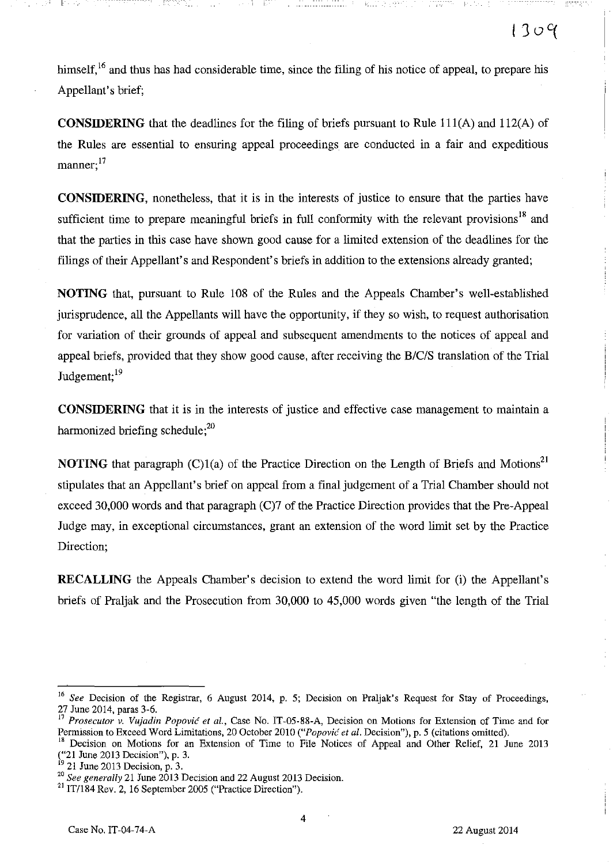himself,<sup>16</sup> and thus has had considerable time, since the filing of his notice of appeal, to prepare his Appellant's brief;

!-'---

**CONSIDERING** that the deadlines for the filing of briefs pursuant to Rule 111(A) and 112(A) of the Rules are essential to ensuring appeal proceedings are conducted in a fair and expeditious  $manner:$ <sup>17</sup>

**CONSIDERING,** nonetheless, that it is in the interests of justice to ensure that the parties have sufficient time to prepare meaningful briefs in full conformity with the relevant provisions<sup>18</sup> and that the parties in this case have shown good cause for a limited extension of the deadlines for the filings of their Appellant's and Respondent's briefs in addition to the extensions already granted;

**NOTING** that, pursuant to Rule 108 of the Rules and the Appeals Chamber's well-established jurisprudence, all the Appellants will have the opportunity, if they so wish, to request authorisation for variation of their grounds of appeal and subsequent amendments to the notices of appeal and appeal briefs, provided that they show good cause, after receiving the *B/C/S* translation of the Trial Judgement; 19

**CONSIDERING** that it is in the interests of justice and effective case management to maintain a harmonized briefing schedule; $^{20}$ 

**NOTING** that paragraph  $(C)1(a)$  of the Practice Direction on the Length of Briefs and Motions<sup>21</sup> stipulates that an Appellant's brief on appeal from a final judgement of a Trial Chamber should not exceed 30,000 words and that paragraph (C)7 of the Practice Direction provides that the Pre-Appeal Judge may, in exceptional circumstances, grant an extension of the word limit set by the Practice Direction;

**RECALLING** the Appeals Chamber's decision to extend the word limit for (i) the Appellant's briefs of Praljak and the Prosecution from 30,000 to 45,000 words given "the length of the Trial

*<sup>16</sup> See* Decision of the Registrar, 6 August 2014, p. 5; Decision on Praljak's Request for Stay of Proceedings, 27 June 2014, paras 3-6.

<sup>17</sup>*Proseculor v. Vujadin Popovic el 01.,* Case No. IT-05-88-A, Decision on Motions for Extension of Time and for Permission to Exceed Word Limitations, 20 October 2010 *("Popovic el 01.* Decision"), p. 5 (citations omitted).

Decision on Motions for an Extension of Time to File Notices of Appeal and Other Relief, 21 June 2013 ("21 June 2013 Decision"), p. 3.

<sup>&</sup>lt;sup>19</sup> 21 June 2013 Decision, p. 3.

*<sup>20</sup> See generally* 21 June 2013 Decision and 22 August 2013 Decision.

<sup>21</sup> IT/184 Rev. 2, 16 September 2005 ("Practice Direction").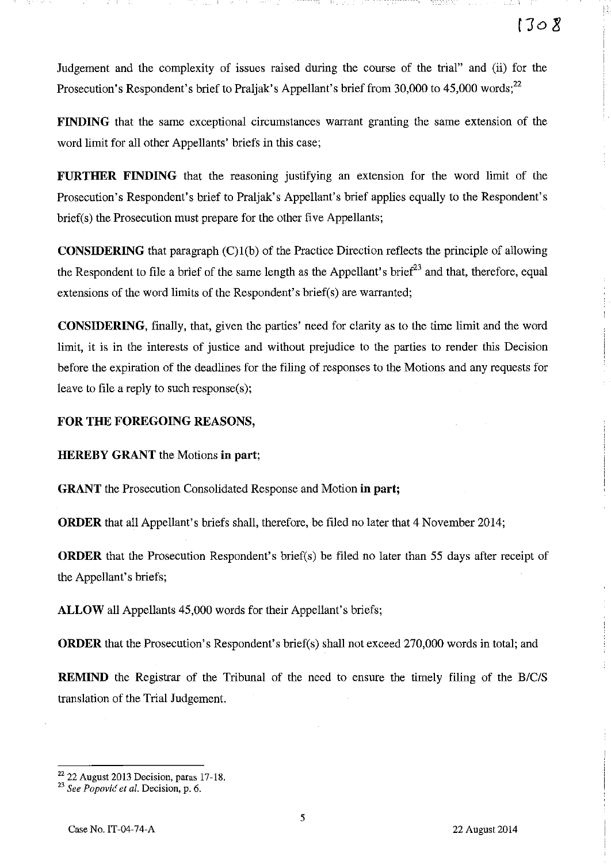!-:

Judgement and the complexity of issues raised during the course of the trial" and (ii) for the Prosecution's Respondent's brief to Praljak's Appellant's brief from 30,000 to  $45,000$  words;<sup>22</sup>

**FINDING** that the same exceptional circumstances warrant granting the same extension of the word limit for all other Appellants' briefs in this case;

**FURTHER FINDING** that the reasoning justifying an extension for the word limit of the Prosecution's Respondent's brief to Praljak's Appellant's brief applies equally to the Respondent's brief(s) the Prosecution must prepare for the other five Appellants;

**CONSIDERING** that paragraph (C)l(b) of the Practice Direction reflects the principle of allowing the Respondent to file a brief of the same length as the Appellant's brief $^{23}$  and that, therefore, equal extensions of the word limits of the Respondent's brief(s) are warranted;

**CONSIDERING,** finally, that, given the parties' need for clarity as to the time limit and the word limit, it is in the interests of justice and without prejudice to the parties to render this Decision before the expiration of the deadlines for the filing of responses to the Motions and any requests for leave to file a reply to such response(s);

## **FOR THE FOREGOING** REASONS,

**HEREBY GRANT** the Motions **in part;** 

**GRANT** the Prosecution Consolidated Response and Motion **in part;** 

**ORDER** that all Appellant's briefs shall, therefore, be filed no later that 4 November 2014;

**ORDER** that the Prosecution Respondent's brief(s) be filed no later than 55 days after receipt of the Appellant's briefs;

**ALLOW** all Appellants 45,000 words for their Appellant's briefs;

**ORDER** that the Prosecution's Respondent's brief(s) shall not exceed 270,000 words in total; and

**REMIND** the Registrar of the Tribunal of the need to ensure the timely filing of the *B/C/S*  translation of the Trial Judgement.

 $^{22}$  22 August 2013 Decision, paras 17-18.

*<sup>23</sup> See Popovic et al.* **Decision, p. 6.**